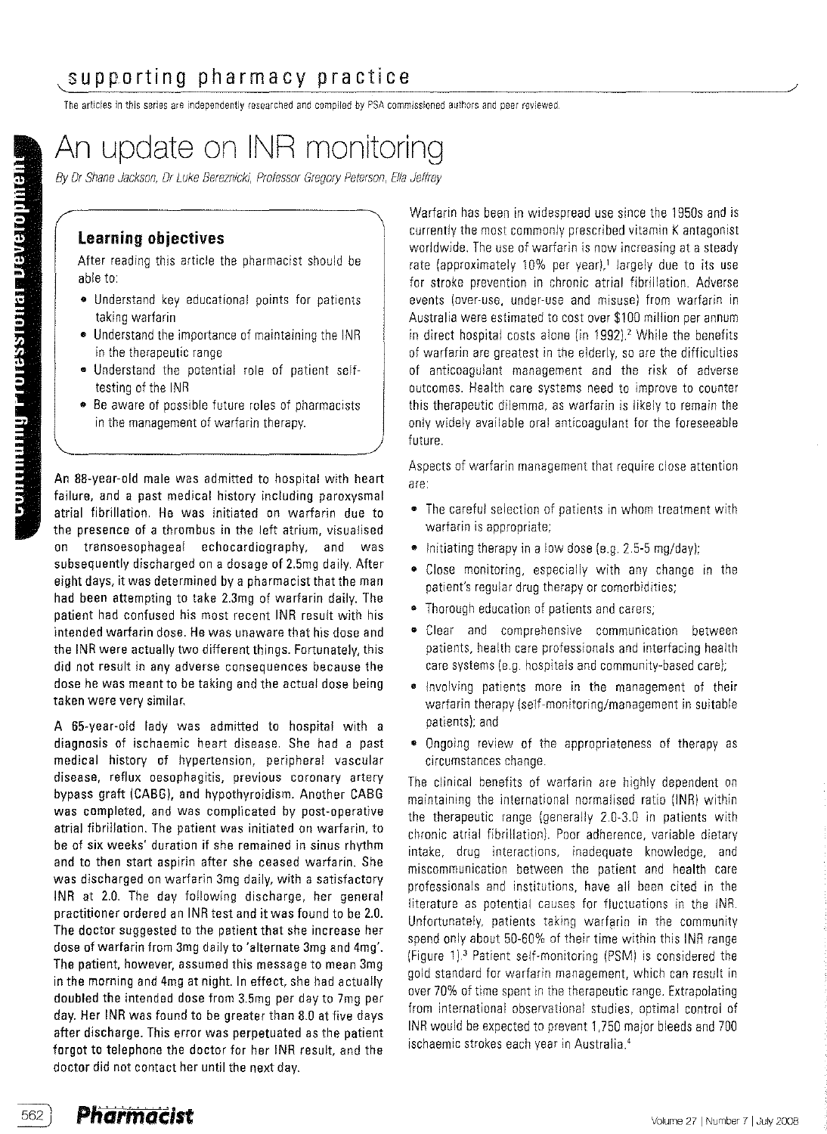# Supporting pharmacy practice<br>The articles in this series are independently researched and compiled by PSA commissioned authors and peer reviewed.

# An update on INR monitoring

By Dr Shane Jackson, Dr Luke Bereznicki, Professor Gregory Peterson, Ella Jeffrey

## learning objectives

After reading this article the pharmacist should be able to:

- Understand key educational points for patients taking warfarin
- Understand the importance of maintaining the INR in the therapeutic range
- Understand the potential role of patient selftesting of the INR
- Be aware of possible future roles of pharmacists in the management of warfarin therapy.

An 88-year-old male was admitted to hospital with heart failure, and a past medical history including paroxysmal atrial fibrillation. He was initiated on warfarin due to the presence of a thrombus in the left atrium, visualised on transoesophageal echocardiography, and was subsequently discharged on a dosage of 2.5mg daily. After eight days, it was determined by a pharmacist that the man had been attempting to take 2.3mg of warfarin daily. The patient had confused his most recent INR result with his intended warfarin dose. He was unaware that his dose and the INR were actually two different things. Fortunately, this did not result in any adverse consequences because the dose he was meant to be taking and the actual dose being taken were very similar.

A 55-year-old lady was admitted to hospital with a diagnosis of ischaemic heart disease. She had a past medical history of hypertension, peripheral vascular disease, reflux oesophagitis, previous coronary artery bypass graft (CABG), and hypothyroidism. Another CABG was completed, and was complicated by post-operative atrial fibrillation. The patient was initiated on warfarin, to be of six weeks' duration if she remained in sinus rhythm and to then start aspirin after she ceased warfarin. She was discharged on warfarin 3mg daily, with a satisfactory INR at 2.0. The day following discharge, her general practitioner ordered an INR test and it was found to be 2.0. The doctor suggested to the patient that she increase her dose of warfarin from 3mg daily to 'alternate 3mg and 4mg'. The patient, however, assumed this message to mean 3mg in the morning and 4mg at night. In effect, she had actually doubled the intended dose from 3.5mg per day to 7mg per day.Her INR was found to be greater than 8.0 at five days after discharge. This error was perpetuated as the patient forgot to telephone the doctor for her INR result, and the doctor did not contact her until the next day.

Warfarin has been in widespread use since the 1950s and is currently the most commonly prescribed vitamin K antagonist worldwide. The use of warfarin is now increasing at a steady rate (approximately 10% per year),<sup>1</sup> largely due to its use for stroke prevention in chronic atrial fibrillation. Adverse events (over-use. under-use and misuse) from warfarin in Australia were estimated to costover \$100 million perannum in direct hospital costs alone (in 1992).<sup>2</sup> While the benefits of warfarin are greatest in the elderly, so are the difficulties of anticoagulant management and the risk of adverse outcomes. Health care systems need to improve to counter this therapeutic dilemma, as warfarin is likely to remain the only widely available oral anticoagulant for the foreseeable future.

Aspects of warfarin management that require close attention are:

- The careful selection of patients in whom treatment with warfarin is appropriate;
- Initiating therapy in a low dose (e.q. 2.5-5 mg/day);
- Close monitoring, especially with any change in the patient's regular drug therapy or comorbidities;
- Thorough education of patients and carers;
- Clear and comprehensive communication between patients, health care professionals and interfacing health care systems (e.g. hospitals and community-based care);
- Involving patients more in the management of their warfarin therapy (self-monitoring/management in suitable patients); and
- Ongoing review of the appropriateness of therapy as circumstances change.

The clinical benefits of warfarin are highly dependent on maintaining the international normalised ratio (INR) within the therapeutic range (generally 2.0-3.0 in patients with chronic atrial fibrillation). Poor adherence, variable dietary intake, drug interactions, inadequate knowledge, and miscommunication between the patient and health care professionals and institutions, have all been cited in the literature as potential causes for fluctuations in the INR. Unfortunately, patients taking warfarin in the community spend only about 50-60% of their time within this INR range (Figure 1).<sup>3</sup> Patient self-monitoring (PSM) is considered the gold standard for warfarin management, which can result in over 70% of time spent in the therapeutic range. Extrapolating from international observational studies, optimal control of INR would be expected to prevent 1,750 major bleeds and 700 ischaemic strokes each year in Australia.<sup>4</sup>

562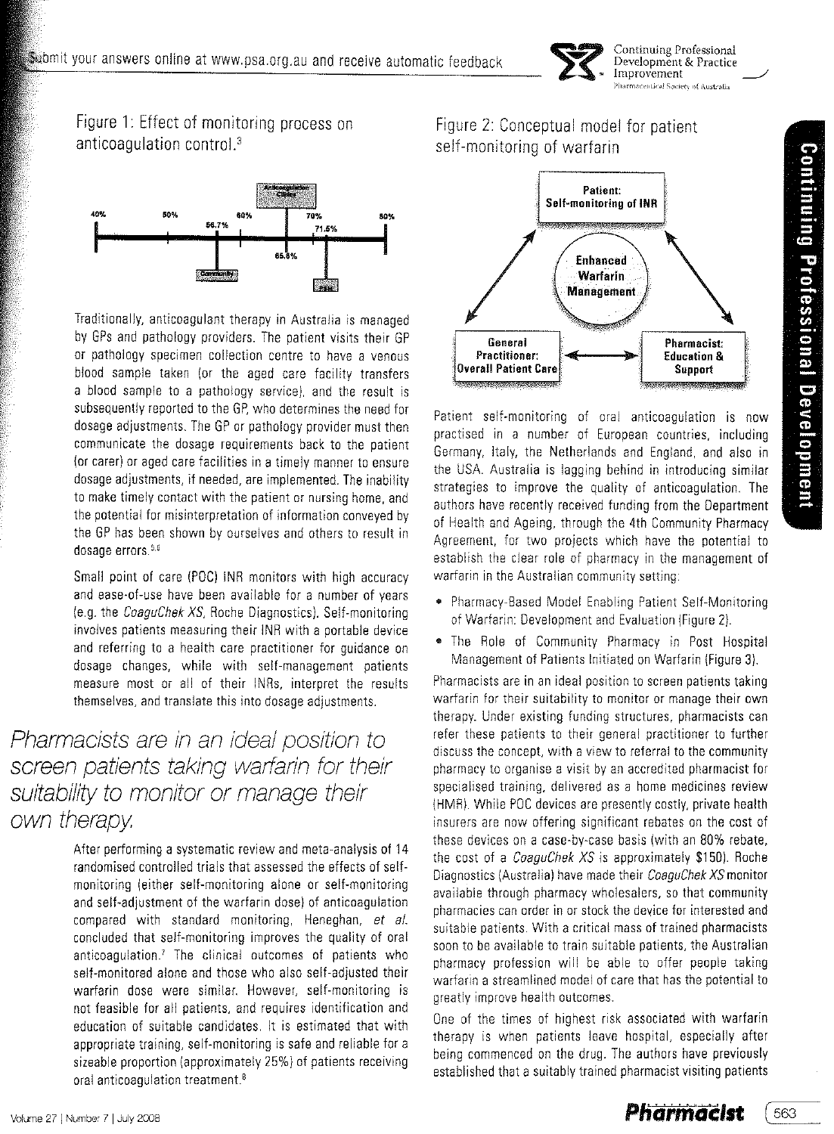

Continuing Professional Development & Practice Improvement ecentical Society of Australia

Figure 1: Effect of monitoring process on anticoagulation control.'



Traditionally, anticoagulant therapy in Australia is managed by GPs and pathology providers, The patient visits their GP or pathology specimen collection centre to have a venous blood sample taken lor the aged care facility transfers a blood sample to a pathology service), and the result is subsequently reported to the GP, who determines the need for dosage adjustments, The GP or pathology provider must then communicate the dosage requirements back to the patient lor carer) or aged care facilities in a timely manner to ensure dosage adjustments, if needed, are implemented, The inability to make timely contact with the patient or nursing home, and the potential for misinterpretation of information conveyed by the GP has been shown by ourselves and others to result in dosage errors.<sup>5,6</sup>

Small point of care (POC) INR monitors with high accuracy and ease-of-use have been available for a number of years le,g, the CoaguChek XS, Roche Diagnostics), Self-monitoring involves patients measuring their INR with a portable device and referring to a health care practitioner for guidance on dosage changes, while with self-management patients measure most or all of their INRs, interpret the results themselves, and translate this into dosage adjustments.

# Pharmacists are in an ideal position to screen patients taking warfarin for their suitability to monitor or manage their own therapy

After performing a systematic review and meta-analysis of 14 randomised controlled trials that assessed the effects of selfmonitoring leither self-monitoring alone or self-monitoring and self-adjustment of the warfarin dose) of anticoagulation compared with standard monitoring, Heneghan, et al. concluded that self-monitoring improves the quality of oral onticoaqulation.' The clinical outcomes of patients who self-monitored alone and those who also self-adjusted their warfarin dose were similar. However, self-monitoring is not feasible for all patients, and requires identification and education of suitable candidates, It is estimated that with appropriate training, self-monitoring is safe and reliable for a sizeable proportion (approximately 25%) of patients receiving oral anticoagulation treatment.<sup>8</sup>

# Figure 2: Conceptual model for patient self-monitoring of warfarin



Patient self-monitoring of oral anticoagulation is now practised in a number of European countries, including Germany, Italy, the Netherlands and England, and also in the USA. Australia is lagging behind in introducing similar strategies to improve the quality of anticoagulation, The authors have recently received funding from the Department of Health and Ageing, through the 4th Community Pharmacy Agreement, for two projects which have the potential to establish the clear role of pharmacy in the management of warfarin in the Australian community setting:

- Pharmacy-Based Model Enabling Patient Self-Monitoring of Warfarin: Development and Evaluation (Figure 2).
- The Role of Community Pharmacy in Post Hospital Management of Patients Initiated on Warfarin (Figure 3),

Pharmacists are in an ideal position to screen patients taking warfarin for their suitability to monitor or manage their own therapy, Under existing funding structures, pharmacists can refer these patients to their general practitioner to further discuss the concept, with a view to referral to the community pharmacy to organise a visit by an accredited pharmacist for specialised training, delivered as a home medicines review (HMR). While POC devices are presently costly, private health insurers are now offering significant rebates on the cost of these devices on a case-by-case basis (with an 80% rebate, the cost of a *CoaguChek XS* is approximately \$150). Roche Diagnostics (Australia) have made their CoaguChek XS monitor available through pharmacy wholesalers, so that community pharmacies can order in or stock the device for interested and suitable patients, With a critical mass of trained pharmacists soon to be available to train suitable patients, the Australian pharmacy profession will be able to offer people taking warfarin a streamlined model of care that has the potential to greatly improve health outcomes,

One of the times of highest risk associated with warfarin therapy is when patients leave hospital, especially after being commenced on the drug, The authors have previously established that a suitably trained pharmacist visiting patients